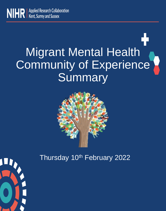

# Migrant Mental Health Community of Experience Summary



Thursday 10<sup>th</sup> February 2022

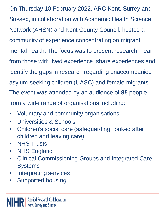On Thursday 10 February 2022, ARC Kent, Surrey and Sussex, in collaboration with Academic Health Science Network (AHSN) and Kent County Council, hosted a community of experience concentrating on migrant mental health. The focus was to present research, hear from those with lived experience, share experiences and identify the gaps in research regarding unaccompanied asylum-seeking children (UASC) and female migrants. The event was attended by an audience of **85** people from a wide range of organisations including:

- Voluntary and community organisations
- Universities & Schools
- Children's social care (safeguarding, looked after children and leaving care)
- NHS Trusts
- NHS England
- Clinical Commissioning Groups and Integrated Care **Systems**
- Interpreting services
- Supported housing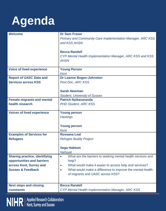

| <b>Welcome</b>                                                                                                                | <b>Dr Sam Fraser</b><br><b>Primary and Community Care Implementation Manager, ARC KSS</b><br>and KSS AHSN                                                                                                                                                 |
|-------------------------------------------------------------------------------------------------------------------------------|-----------------------------------------------------------------------------------------------------------------------------------------------------------------------------------------------------------------------------------------------------------|
|                                                                                                                               | <b>Becca Randell</b><br>CYP Mental Health Implementation Manager, ARC KSS and KSS<br><b>AHSN</b>                                                                                                                                                          |
| <b>Voice of lived experience</b>                                                                                              | <b>Young Person</b><br>Kent                                                                                                                                                                                                                               |
| <b>Report of UASC Data and</b><br><b>Services across KSS</b>                                                                  | <b>Dr Leanne Bogen-Johnston</b><br>Post Doc, ARC KSS                                                                                                                                                                                                      |
|                                                                                                                               | <b>Sarah Newman</b><br><b>Student, University of Sussex</b>                                                                                                                                                                                               |
| <b>Female migrants and mental</b><br>health research                                                                          | <b>Patrick Nyikavaranda</b><br><b>PHD Student, ARC KSS</b>                                                                                                                                                                                                |
| <b>Voices of lived experience</b>                                                                                             | <b>Young person</b><br><b>Hastings</b><br><b>Young person</b><br>Kent                                                                                                                                                                                     |
| <b>Examples of Services for</b><br><b>Refugees</b>                                                                            | <b>Rossana Leal</b><br><b>Refugee Buddy Project</b><br><b>Sega Habtom</b><br><b>Nafsiyat</b>                                                                                                                                                              |
| <b>Sharing practice, identifying</b><br>opportunities and barriers<br>across Kent, Surrey and<br><b>Sussex &amp; Feedback</b> | What are the barriers to seeking mental health services and<br>help?<br>What would make it easier to access help and services?<br>$\bullet$<br>What would make a difference to improve the mental health<br>$\bullet$<br>of migrants and UASC across KSS? |
| <b>Next steps and closing</b><br>comments                                                                                     | <b>Becca Randell</b><br>CYP Mental Health Implementation Manager, ARC KSS                                                                                                                                                                                 |

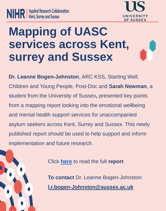



## **Mapping of UASC services across Kent, surrey and Sussex**

**Dr. Leanne Bogen-Johnston**, ARC KSS, Starting Well, Children and Young People, Post-Doc and **Sarah Newman**, a student from the University of Sussex**,** presented key points from a mapping report looking into the emotional wellbeing and mental health support services for unaccompanied asylum seekers across Kent, Surrey and Sussex. This newly published report should be used to help support and inform implementation and future research.



Click **[here](https://arc-kss.nihr.ac.uk/document-download/181-unaccompanied-asylum-mapping-report-20-jan-2022/file)** to read the full **report**

**To contact** Dr. Leanne Bogen-Johnston: **[l.r.bogen-Johnston@sussex.ac.uk](mailto:l.r.bogen-Johnston@sussex.ac.uk)**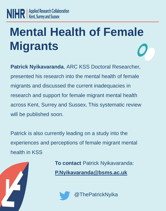# **Mental Health of Female Migrants**

**Patrick Nyikavaranda**, ARC KSS Doctoral Researcher, presented his research into the mental health of female migrants and discussed the current inadequacies in research and support for female migrant mental health across Kent, Surrey and Sussex. This systematic review will be published soon.

Patrick is also currently leading on a study into the experiences and perceptions of female migrant mental health in KSS

> **To contact** Patrick Nyikavaranda: **[P.Nyikavaranda@bsms.ac.uk](mailto:P.Nyikavaranda@bsms.ac.uk)**

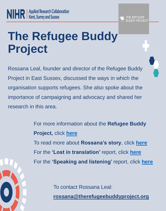# **The Refugee Buddy Project**

Rossana Leal, founder and director of the Refugee Buddy Project in East Sussex, discussed the ways in which the organisation supports refugees. She also spoke about the importance of campaigning and advocacy and shared her research in this area.

> For more information about the **Refugee Buddy Project,** click **[here](https://www.therefugeebuddyproject.org/)** To read more about **Rossana's story**, click **[here](https://www.therefugeebuddyproject.org/blog/rossana-leals-story)** For the **'Lost in translation'** report, click **[here](https://arckss.glasscubes.com/share/s/58529ptvmmtldu32421bq6nohb)** For the **'Speaking and listening'** report, click **[here](https://www.therefugeebuddyproject.org/blog/launch-of-our-new-report-speaking-and-listening-a-report-on-the-experiences-of-refugee-families-in-education)**

> > To contact Rossana Leal:

**[rossana@therefugeebuddyproject.org](mailto:rossana@therefugeebuddyproject.org)**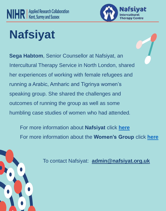

# **Nafsiyat**

**Sega Habtom**, Senior Counsellor at Nafsiyat, an Intercultural Therapy Service in North London, shared her experiences of working with female refugees and running a Arabic, Amharic and Tigrinya women's speaking group. She shared the challenges and outcomes of running the group as well as some humbling case studies of women who had attended.

For more information about **Nafsiyat** click **[here](https://www.nafsiyat.org.uk/)** For more information about the **Women's Group** click **[here](https://www.nafsiyat.org.uk/index.php/womens-group/)**



To contact Nafsiyat: **[admin@nafsiyat.org.uk](mailto:admin@nafsiyat.org.uk)**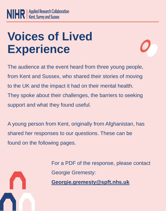# **Voices of Lived Experience**



The audience at the event heard from three young people, from Kent and Sussex, who shared their stories of moving to the UK and the impact it had on their mental health. They spoke about their challenges, the barriers to seeking support and what they found useful.

A young person from Kent, originally from Afghanistan, has shared her responses to our questions. These can be found on the following pages.



For a PDF of the response, please contact Georgie Gremesty: **[Georgie.gremesty@spft.nhs.uk](mailto:Georgie.gremesty@spft.nhs.uk)**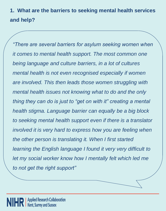**1. What are the barriers to seeking mental health services and help?**

*"There are several barriers for asylum seeking women when it comes to mental health support. The most common one being language and culture barriers, in a lot of cultures mental health is not even recognised especially if women are involved. This then leads those women struggling with mental health issues not knowing what to do and the only thing they can do is just to "get on with it" creating a mental health stigma. Language barrier can equally be a big block to seeking mental health support even if there is a translator involved it is very hard to express how you are feeling when the other person is translating it. When I first started learning the English language I found it very very difficult to let my social worker know how I mentally felt which led me to not get the right support"*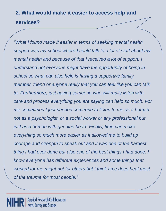### **2. What would make it easier to access help and services?**

*"What I found made it easier in terms of seeking mental health support was my school where I could talk to a lot of staff about my mental health and because of that I received a lot of support. I understand not everyone might have the opportunity of being in school so what can also help is having a supportive family member, friend or anyone really that you can feel like you can talk to. Furthermore, just having someone who will really listen with care and process everything you are saying can help so much. For me sometimes I just needed someone to listen to me as a human not as a psychologist, or a social worker or any professional but just as a human with genuine heart. Finally, time can make everything so much more easier as it allowed me to build up courage and strength to speak out and it was one of the hardest thing I had ever done but also one of the best things I had done. I know everyone has different experiences and some things that worked for me might not for others but I think time does heal most of the trauma for most people."*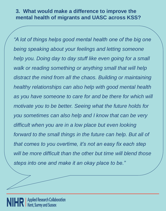### **3. What would make a difference to improve the mental health of migrants and UASC across KSS?**

*"A lot of things helps good mental health one of the big one being speaking about your feelings and letting someone help you. Doing day to day stuff like even going for a small walk or reading something or anything small that will help distract the mind from all the chaos. Building or maintaining healthy relationships can also help with good mental health as you have someone to care for and be there for which will motivate you to be better. Seeing what the future holds for you sometimes can also help and I know that can be very difficult when you are in a low place but even looking forward to the small things in the future can help. But all of that comes to you overtime, it's not an easy fix each step will be more difficult than the other but time will blend those steps into one and make it an okay place to be."*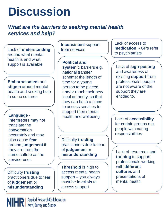# **Discussion**

### *What are the barriers to seeking mental health services and help?*

Lack of **understanding** around what mental health is and what support is available

**Embarrassment** and **stigma** around mental health and seeking help in some cultures

#### **Language** -

Interpreters may not translate the conversation accurately and may also cause **fear** around **judgement** if they are from the same culture as the service-user.

Difficulty **trusting** practitioners due to fear of **judgemen**t or **misunderstanding**

**Inconsisten**t support from services

**Political and systemic** barriers e.g. national transfer scheme: the length of time for a young person to be placed and/or reach their new local authority, so that they can be in a place to access services to support their mental health and wellbeing

Difficulty **trusting** practitioners due to fear of **judgemen**t or **misunderstanding**

**Threshold** is high to access mental health support – you always must be in **crisis** to access support

Lack of access to **medication** - GPs refer to psychiatrists

Lack of **sign-posting** and awareness of existing **support** from professionals. people are not aware of the support they are entitled to.

Lack of **accessibility** for certain groups e.g. people with caring responsibilities

Lack of resources and **training** to support professionals working with **different cultures** and presentations of mental health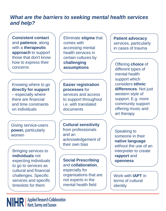### *What are the barriers to seeking mental health services and help?*

**Consistent contact**  and **patience**, along with a **therapeutic approach** to support those that don't know how to express their concerns

Eliminate **stigma** that comes with accessing mental health services in certain cultures by **challenging assumptions**

Knowing where to go **directly for support**  – especially where there are financial and time constraints on individuals

Giving service-users **power,** particularly women

Bringing services to **individuals** not expecting individuals to go to services as cultural and financial challenges. Specific services and specific timeslots for them

**Easier registration processes** for services and access to support throughout i.e. with translated documents

**Cultural sensitivity**  from professionals and an acknowledgement of their own bias

**Social Prescribing**  and **collaboration**, especially for organisations that are not experts in the mental health field

**Patient advocacy**  services, particularly in cases of trauma

Offering **choice** of different types of mental health support which considers **ethnic differences**. Not just western style of support. E.g. more community support offering music and art therapy

Speaking to someone in their **native language**  without the use of an interpreter to create **rapport** and **openness**

Work with **IAPT** in terms of cultural identity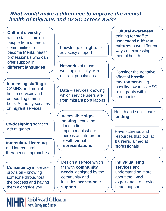### *What would make a difference to improve the mental health of migrants and UASC across KSS?*

**Cultural diversity**  within staff - training people from different communities to become Mental health professionals who can offer support in **different languages**

**Increasing staffing** in CAMHS and mental health services and embedding them in Local Authority services or migrant services

**Co-designing** services with migrants

**Intercultural learning**  and intercultural therapeutic approaches

**Consistency** in service provision - knowing someone throughout the process and having them alongside you

NIHR | Applied Research Collaboration

Knowledge of **rights** to advocacy support

**Networks** of those working clinically with migrant populations

**Data** – services knowing which service users are from migrant populations

**Accessible signposting** - could be done in first appointment where there is an interpreter or with **visual representations**

Design a service which fits with **community needs**, designed by the community and includes **peer-to-peer support**

**Cultural awareness**  training for staff to understand **different cultures** have different ways of expressing mental health

Consider the negative affect of **hostile environments** e.g. hostility towards UASC or migrants within communities

Health and social care **funding**

Have activities and resources that look at **barriers**, aimed at professionals

**Individualising services** and understanding more about the **lived experience** to provide better support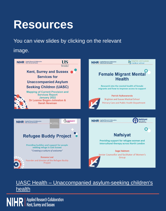## **Resources**

You can view slides by clicking on the relevant

### image.



### UASC Health – [Unaccompanied asylum-seeking children's](https://www.uaschealth.org/)  health

**NIHR** | Applied Research Collaboration